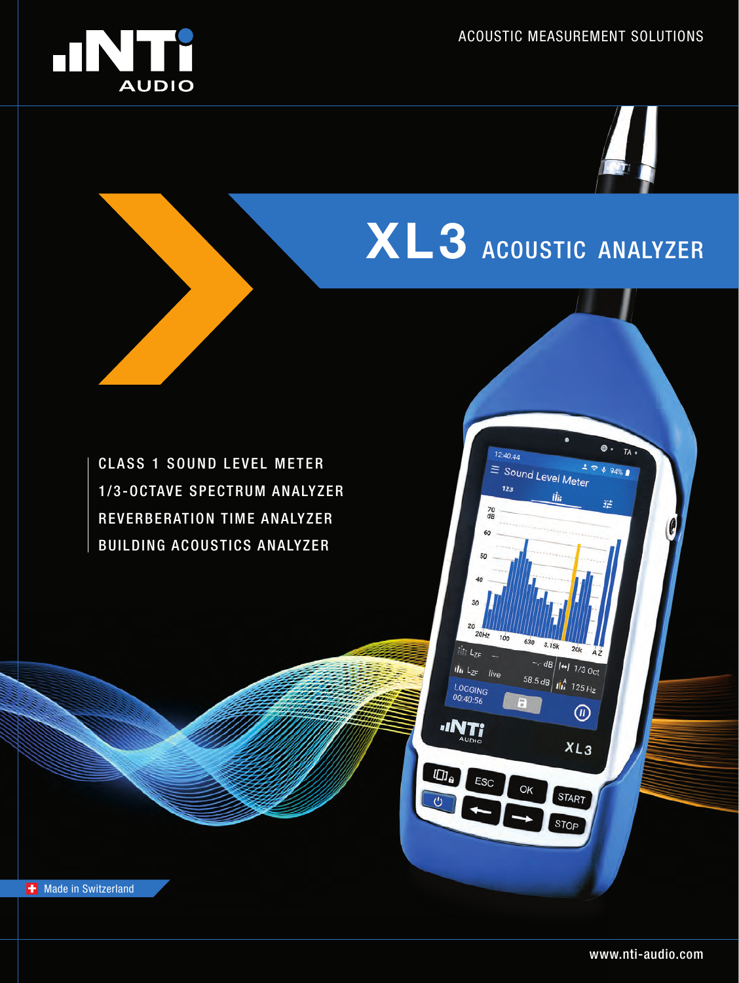



 $\oplus$ .

 $294%$ 

瑞

 $TA$ 

# **XL3** ACOUSTIC ANALYZER

 $12:40:44$ 

 $123$ 

 $rac{70}{dB}$ 60 50

30 20

 $\frac{1}{2}$ 

 $\vec{u}$ i  $L_{ZF}$  live

ESC

LOGGING<br>00:40:56

**INTI** 

 $I\Box$ 

 $\overline{C}$ 

 $20Hz$   $100$ 

630  $3.15k$ 

OK

 $20k$  $-$ -dB  $H$  1/3 Oct

 $^{\circledR}$ 

 $XL_3$ 

**START** 

STOP

58.5 dB  $\frac{1}{10}$  125 Hz

 $\equiv$  Sound Level Meter

ilii

CLASS 1 SOUND LEVEL METER 1/3-OCTAVE SPECTRUM ANALYZER REVERBERATION TIME ANALYZER BUILDING ACOUSTICS ANALYZER

**+** Made in Switzerland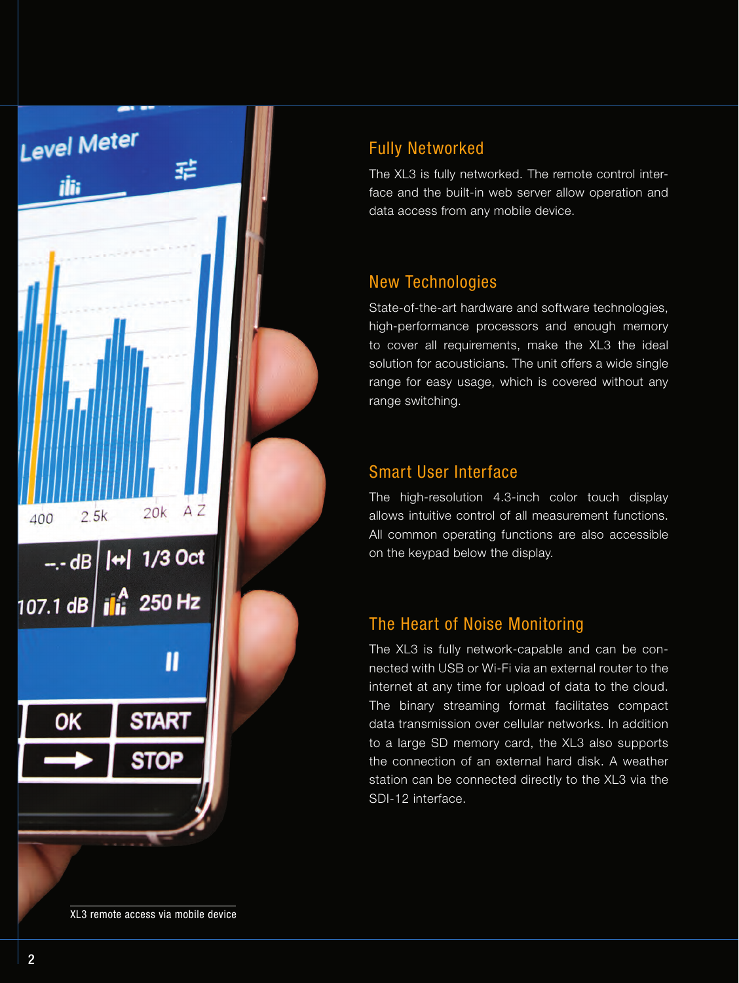

## Fully Networked

The XL3 is fully networked. The remote control interface and the built-in web server allow operation and data access from any mobile device.

## New Technologies

State-of-the-art hardware and software technologies, high-performance processors and enough memory to cover all requirements, make the XL3 the ideal solution for acousticians. The unit offers a wide single range for easy usage, which is covered without any range switching.

## Smart User Interface

The high-resolution 4.3-inch color touch display allows intuitive control of all measurement functions. All common operating functions are also accessible on the keypad below the display.

## The Heart of Noise Monitoring

The XL3 is fully network-capable and can be connected with USB or Wi-Fi via an external router to the internet at any time for upload of data to the cloud. The binary streaming format facilitates compact data transmission over cellular networks. In addition to a large SD memory card, the XL3 also supports the connection of an external hard disk. A weather station can be connected directly to the XL3 via the SDI-12 interface.

XL3 remote access via mobile device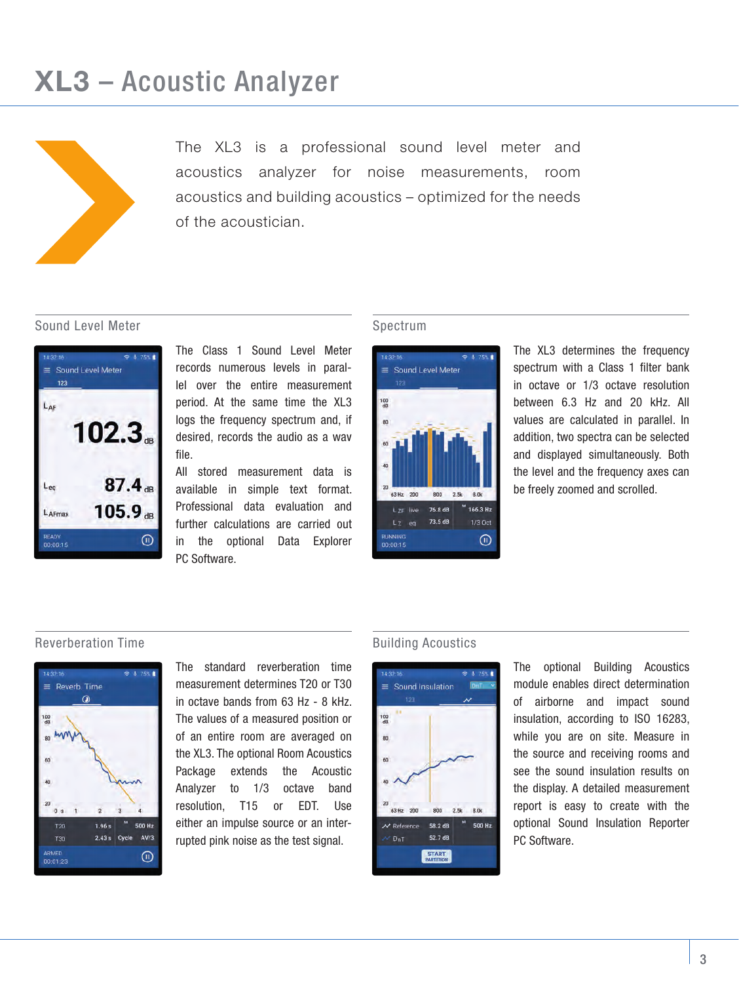## **XL3** – Acoustic Analyzer



The XL3 is a professional sound level meter and acoustics analyzer for noise measurements, room acoustics and building acoustics – optimized for the needs of the acoustician.

#### Sound Level Meter



The Class 1 Sound Level Meter records numerous levels in parallel over the entire measurement period. At the same time the XL3 logs the frequency spectrum and, if desired, records the audio as a wav file.

All stored measurement data is available in simple text format. Professional data evaluation and further calculations are carried out in the optional Data Explorer PC Software.

#### Spectrum



The XL3 determines the frequency spectrum with a Class 1 filter bank in octave or 1/3 octave resolution between 6.3 Hz and 20 kHz. All values are calculated in parallel. In addition, two spectra can be selected and displayed simultaneously. Both the level and the frequency axes can be freely zoomed and scrolled.

#### Reverberation Time **Building Acoustics Building Acoustics**



The standard reverberation time measurement determines T20 or T30 in octave bands from 63 Hz - 8 kHz. The values of a measured position or of an entire room are averaged on the XL3. The optional Room Acoustics Package extends the Acoustic Analyzer to 1/3 octave band resolution, T15 or EDT. Use either an impulse source or an interrupted pink noise as the test signal.



The optional Building Acoustics module enables direct determination of airborne and impact sound insulation, according to ISO 16283, while you are on site. Measure in the source and receiving rooms and see the sound insulation results on the display. A detailed measurement report is easy to create with the optional Sound Insulation Reporter PC Software.